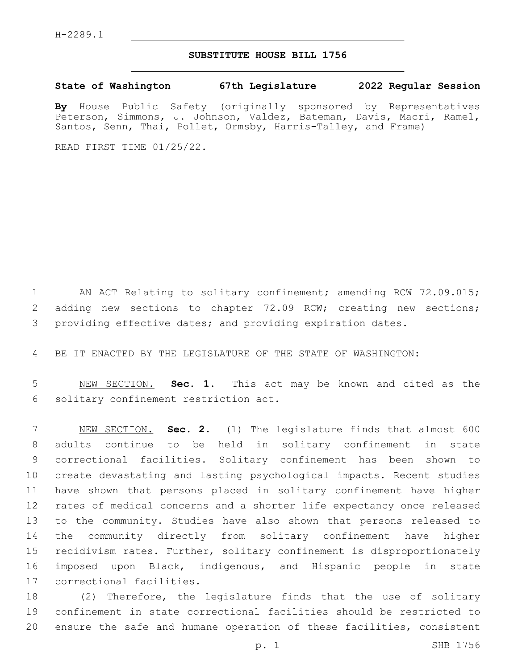## **SUBSTITUTE HOUSE BILL 1756**

**State of Washington 67th Legislature 2022 Regular Session**

**By** House Public Safety (originally sponsored by Representatives Peterson, Simmons, J. Johnson, Valdez, Bateman, Davis, Macri, Ramel, Santos, Senn, Thai, Pollet, Ormsby, Harris-Talley, and Frame)

READ FIRST TIME 01/25/22.

1 AN ACT Relating to solitary confinement; amending RCW 72.09.015; 2 adding new sections to chapter 72.09 RCW; creating new sections; providing effective dates; and providing expiration dates.

BE IT ENACTED BY THE LEGISLATURE OF THE STATE OF WASHINGTON:

 NEW SECTION. **Sec. 1.** This act may be known and cited as the solitary confinement restriction act.

 NEW SECTION. **Sec. 2.** (1) The legislature finds that almost 600 adults continue to be held in solitary confinement in state correctional facilities. Solitary confinement has been shown to create devastating and lasting psychological impacts. Recent studies have shown that persons placed in solitary confinement have higher rates of medical concerns and a shorter life expectancy once released to the community. Studies have also shown that persons released to the community directly from solitary confinement have higher recidivism rates. Further, solitary confinement is disproportionately imposed upon Black, indigenous, and Hispanic people in state correctional facilities.

 (2) Therefore, the legislature finds that the use of solitary confinement in state correctional facilities should be restricted to ensure the safe and humane operation of these facilities, consistent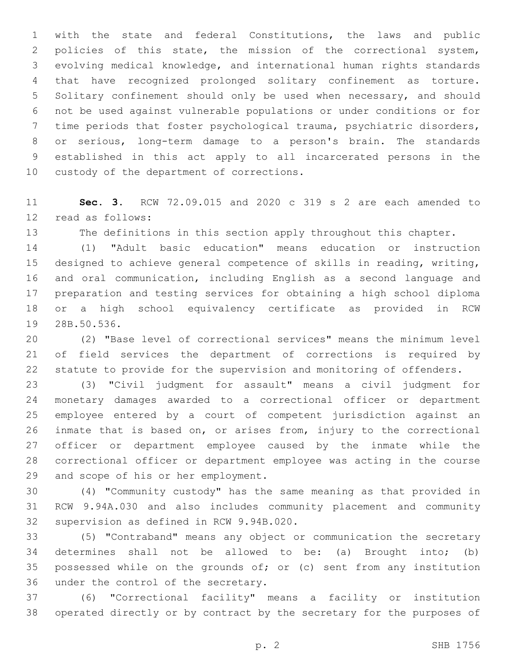with the state and federal Constitutions, the laws and public policies of this state, the mission of the correctional system, evolving medical knowledge, and international human rights standards that have recognized prolonged solitary confinement as torture. Solitary confinement should only be used when necessary, and should not be used against vulnerable populations or under conditions or for time periods that foster psychological trauma, psychiatric disorders, or serious, long-term damage to a person's brain. The standards established in this act apply to all incarcerated persons in the 10 custody of the department of corrections.

 **Sec. 3.** RCW 72.09.015 and 2020 c 319 s 2 are each amended to 12 read as follows:

The definitions in this section apply throughout this chapter.

 (1) "Adult basic education" means education or instruction designed to achieve general competence of skills in reading, writing, and oral communication, including English as a second language and preparation and testing services for obtaining a high school diploma or a high school equivalency certificate as provided in RCW 19 28B.50.536.

 (2) "Base level of correctional services" means the minimum level of field services the department of corrections is required by statute to provide for the supervision and monitoring of offenders.

 (3) "Civil judgment for assault" means a civil judgment for monetary damages awarded to a correctional officer or department employee entered by a court of competent jurisdiction against an inmate that is based on, or arises from, injury to the correctional officer or department employee caused by the inmate while the correctional officer or department employee was acting in the course 29 and scope of his or her employment.

 (4) "Community custody" has the same meaning as that provided in RCW 9.94A.030 and also includes community placement and community 32 supervision as defined in RCW 9.94B.020.

 (5) "Contraband" means any object or communication the secretary determines shall not be allowed to be: (a) Brought into; (b) possessed while on the grounds of; or (c) sent from any institution 36 under the control of the secretary.

 (6) "Correctional facility" means a facility or institution operated directly or by contract by the secretary for the purposes of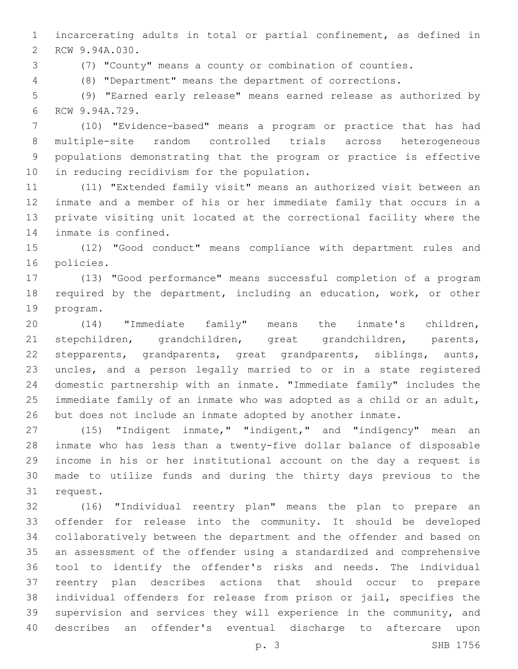incarcerating adults in total or partial confinement, as defined in 2 RCW 9.94A.030.

(7) "County" means a county or combination of counties.

(8) "Department" means the department of corrections.

 (9) "Earned early release" means earned release as authorized by 6 RCW 9.94A.729.

 (10) "Evidence-based" means a program or practice that has had multiple-site random controlled trials across heterogeneous populations demonstrating that the program or practice is effective 10 in reducing recidivism for the population.

 (11) "Extended family visit" means an authorized visit between an inmate and a member of his or her immediate family that occurs in a private visiting unit located at the correctional facility where the 14 inmate is confined.

 (12) "Good conduct" means compliance with department rules and 16 policies.

 (13) "Good performance" means successful completion of a program required by the department, including an education, work, or other 19 program.

 (14) "Immediate family" means the inmate's children, stepchildren, grandchildren, great grandchildren, parents, stepparents, grandparents, great grandparents, siblings, aunts, uncles, and a person legally married to or in a state registered domestic partnership with an inmate. "Immediate family" includes the immediate family of an inmate who was adopted as a child or an adult, but does not include an inmate adopted by another inmate.

 (15) "Indigent inmate," "indigent," and "indigency" mean an inmate who has less than a twenty-five dollar balance of disposable income in his or her institutional account on the day a request is made to utilize funds and during the thirty days previous to the 31 request.

 (16) "Individual reentry plan" means the plan to prepare an offender for release into the community. It should be developed collaboratively between the department and the offender and based on an assessment of the offender using a standardized and comprehensive tool to identify the offender's risks and needs. The individual reentry plan describes actions that should occur to prepare individual offenders for release from prison or jail, specifies the supervision and services they will experience in the community, and describes an offender's eventual discharge to aftercare upon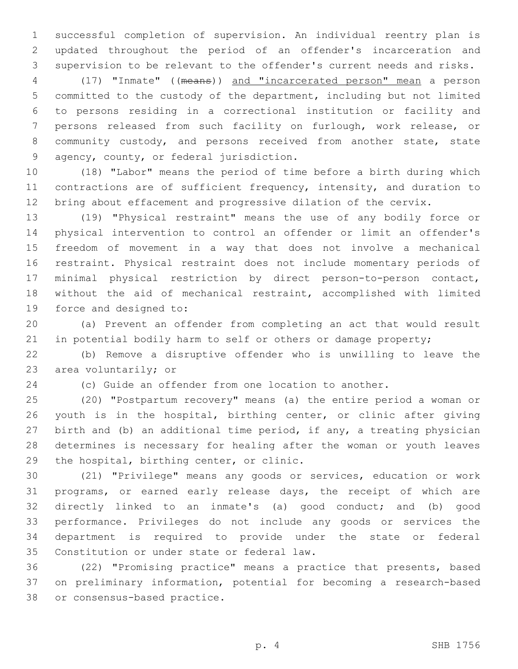successful completion of supervision. An individual reentry plan is updated throughout the period of an offender's incarceration and supervision to be relevant to the offender's current needs and risks.

 (17) "Inmate" ((means)) and "incarcerated person" mean a person committed to the custody of the department, including but not limited to persons residing in a correctional institution or facility and persons released from such facility on furlough, work release, or community custody, and persons received from another state, state 9 agency, county, or federal jurisdiction.

 (18) "Labor" means the period of time before a birth during which contractions are of sufficient frequency, intensity, and duration to bring about effacement and progressive dilation of the cervix.

 (19) "Physical restraint" means the use of any bodily force or physical intervention to control an offender or limit an offender's freedom of movement in a way that does not involve a mechanical restraint. Physical restraint does not include momentary periods of minimal physical restriction by direct person-to-person contact, without the aid of mechanical restraint, accomplished with limited 19 force and designed to:

 (a) Prevent an offender from completing an act that would result 21 in potential bodily harm to self or others or damage property;

 (b) Remove a disruptive offender who is unwilling to leave the 23 area voluntarily; or

(c) Guide an offender from one location to another.

 (20) "Postpartum recovery" means (a) the entire period a woman or youth is in the hospital, birthing center, or clinic after giving birth and (b) an additional time period, if any, a treating physician determines is necessary for healing after the woman or youth leaves 29 the hospital, birthing center, or clinic.

 (21) "Privilege" means any goods or services, education or work programs, or earned early release days, the receipt of which are directly linked to an inmate's (a) good conduct; and (b) good performance. Privileges do not include any goods or services the department is required to provide under the state or federal 35 Constitution or under state or federal law.

 (22) "Promising practice" means a practice that presents, based on preliminary information, potential for becoming a research-based 38 or consensus-based practice.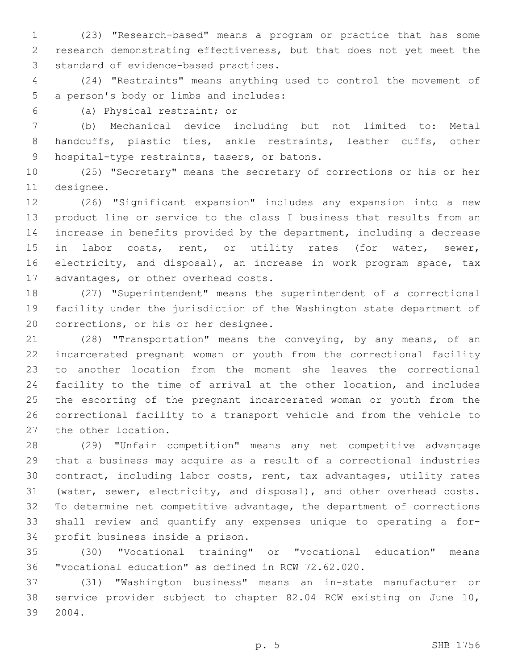(23) "Research-based" means a program or practice that has some research demonstrating effectiveness, but that does not yet meet the 3 standard of evidence-based practices.

 (24) "Restraints" means anything used to control the movement of 5 a person's body or limbs and includes:

(a) Physical restraint; or6

 (b) Mechanical device including but not limited to: Metal handcuffs, plastic ties, ankle restraints, leather cuffs, other 9 hospital-type restraints, tasers, or batons.

 (25) "Secretary" means the secretary of corrections or his or her 11 designee.

 (26) "Significant expansion" includes any expansion into a new product line or service to the class I business that results from an increase in benefits provided by the department, including a decrease 15 in labor costs, rent, or utility rates (for water, sewer, electricity, and disposal), an increase in work program space, tax 17 advantages, or other overhead costs.

 (27) "Superintendent" means the superintendent of a correctional facility under the jurisdiction of the Washington state department of 20 corrections, or his or her designee.

 (28) "Transportation" means the conveying, by any means, of an incarcerated pregnant woman or youth from the correctional facility to another location from the moment she leaves the correctional facility to the time of arrival at the other location, and includes the escorting of the pregnant incarcerated woman or youth from the correctional facility to a transport vehicle and from the vehicle to 27 the other location.

 (29) "Unfair competition" means any net competitive advantage that a business may acquire as a result of a correctional industries contract, including labor costs, rent, tax advantages, utility rates (water, sewer, electricity, and disposal), and other overhead costs. To determine net competitive advantage, the department of corrections shall review and quantify any expenses unique to operating a for-34 profit business inside a prison.

 (30) "Vocational training" or "vocational education" means "vocational education" as defined in RCW 72.62.020.

 (31) "Washington business" means an in-state manufacturer or service provider subject to chapter 82.04 RCW existing on June 10, 2004.39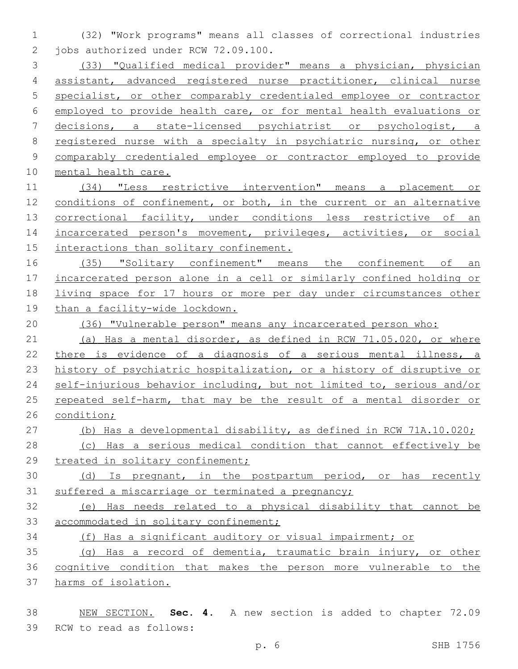(32) "Work programs" means all classes of correctional industries 2 jobs authorized under RCW 72.09.100.

 (33) "Qualified medical provider" means a physician, physician assistant, advanced registered nurse practitioner, clinical nurse specialist, or other comparably credentialed employee or contractor employed to provide health care, or for mental health evaluations or decisions, a state-licensed psychiatrist or psychologist, a registered nurse with a specialty in psychiatric nursing, or other comparably credentialed employee or contractor employed to provide mental health care.

 (34) "Less restrictive intervention" means a placement or conditions of confinement, or both, in the current or an alternative 13 correctional facility, under conditions less restrictive of an 14 incarcerated person's movement, privileges, activities, or social 15 interactions than solitary confinement.

 (35) "Solitary confinement" means the confinement of an incarcerated person alone in a cell or similarly confined holding or living space for 17 hours or more per day under circumstances other than a facility-wide lockdown.

(36) "Vulnerable person" means any incarcerated person who:

 (a) Has a mental disorder, as defined in RCW 71.05.020, or where there is evidence of a diagnosis of a serious mental illness, a history of psychiatric hospitalization, or a history of disruptive or self-injurious behavior including, but not limited to, serious and/or 25 repeated self-harm, that may be the result of a mental disorder or condition;

(b) Has a developmental disability, as defined in RCW 71A.10.020;

 (c) Has a serious medical condition that cannot effectively be 29 treated in solitary confinement;

 (d) Is pregnant, in the postpartum period, or has recently suffered a miscarriage or terminated a pregnancy;

 (e) Has needs related to a physical disability that cannot be 33 accommodated in solitary confinement;

(f) Has a significant auditory or visual impairment; or

 (g) Has a record of dementia, traumatic brain injury, or other cognitive condition that makes the person more vulnerable to the harms of isolation.

 NEW SECTION. **Sec. 4.** A new section is added to chapter 72.09 39 RCW to read as follows: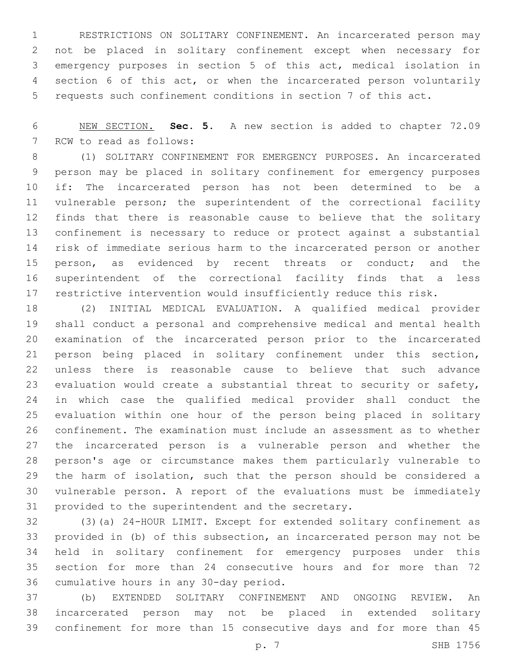RESTRICTIONS ON SOLITARY CONFINEMENT. An incarcerated person may not be placed in solitary confinement except when necessary for emergency purposes in section 5 of this act, medical isolation in section 6 of this act, or when the incarcerated person voluntarily requests such confinement conditions in section 7 of this act.

 NEW SECTION. **Sec. 5.** A new section is added to chapter 72.09 7 RCW to read as follows:

 (1) SOLITARY CONFINEMENT FOR EMERGENCY PURPOSES. An incarcerated person may be placed in solitary confinement for emergency purposes if: The incarcerated person has not been determined to be a vulnerable person; the superintendent of the correctional facility finds that there is reasonable cause to believe that the solitary confinement is necessary to reduce or protect against a substantial risk of immediate serious harm to the incarcerated person or another 15 person, as evidenced by recent threats or conduct; and the superintendent of the correctional facility finds that a less restrictive intervention would insufficiently reduce this risk.

 (2) INITIAL MEDICAL EVALUATION. A qualified medical provider shall conduct a personal and comprehensive medical and mental health examination of the incarcerated person prior to the incarcerated person being placed in solitary confinement under this section, unless there is reasonable cause to believe that such advance evaluation would create a substantial threat to security or safety, in which case the qualified medical provider shall conduct the evaluation within one hour of the person being placed in solitary confinement. The examination must include an assessment as to whether the incarcerated person is a vulnerable person and whether the person's age or circumstance makes them particularly vulnerable to the harm of isolation, such that the person should be considered a vulnerable person. A report of the evaluations must be immediately 31 provided to the superintendent and the secretary.

 (3)(a) 24-HOUR LIMIT. Except for extended solitary confinement as provided in (b) of this subsection, an incarcerated person may not be held in solitary confinement for emergency purposes under this section for more than 24 consecutive hours and for more than 72 36 cumulative hours in any 30-day period.

 (b) EXTENDED SOLITARY CONFINEMENT AND ONGOING REVIEW. An incarcerated person may not be placed in extended solitary confinement for more than 15 consecutive days and for more than 45

p. 7 SHB 1756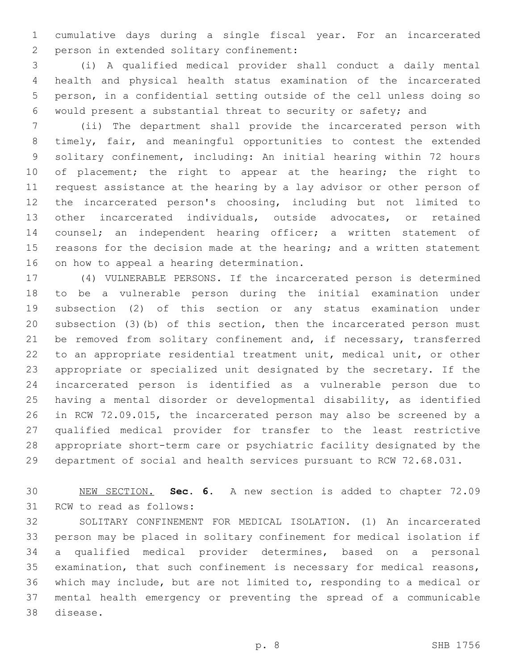cumulative days during a single fiscal year. For an incarcerated 2 person in extended solitary confinement:

 (i) A qualified medical provider shall conduct a daily mental health and physical health status examination of the incarcerated person, in a confidential setting outside of the cell unless doing so would present a substantial threat to security or safety; and

 (ii) The department shall provide the incarcerated person with timely, fair, and meaningful opportunities to contest the extended solitary confinement, including: An initial hearing within 72 hours 10 of placement; the right to appear at the hearing; the right to request assistance at the hearing by a lay advisor or other person of the incarcerated person's choosing, including but not limited to other incarcerated individuals, outside advocates, or retained counsel; an independent hearing officer; a written statement of 15 reasons for the decision made at the hearing; and a written statement 16 on how to appeal a hearing determination.

 (4) VULNERABLE PERSONS. If the incarcerated person is determined to be a vulnerable person during the initial examination under subsection (2) of this section or any status examination under subsection (3)(b) of this section, then the incarcerated person must 21 be removed from solitary confinement and, if necessary, transferred to an appropriate residential treatment unit, medical unit, or other appropriate or specialized unit designated by the secretary. If the incarcerated person is identified as a vulnerable person due to having a mental disorder or developmental disability, as identified in RCW 72.09.015, the incarcerated person may also be screened by a qualified medical provider for transfer to the least restrictive appropriate short-term care or psychiatric facility designated by the department of social and health services pursuant to RCW 72.68.031.

 NEW SECTION. **Sec. 6.** A new section is added to chapter 72.09 31 RCW to read as follows:

 SOLITARY CONFINEMENT FOR MEDICAL ISOLATION. (1) An incarcerated person may be placed in solitary confinement for medical isolation if a qualified medical provider determines, based on a personal examination, that such confinement is necessary for medical reasons, which may include, but are not limited to, responding to a medical or mental health emergency or preventing the spread of a communicable 38 disease.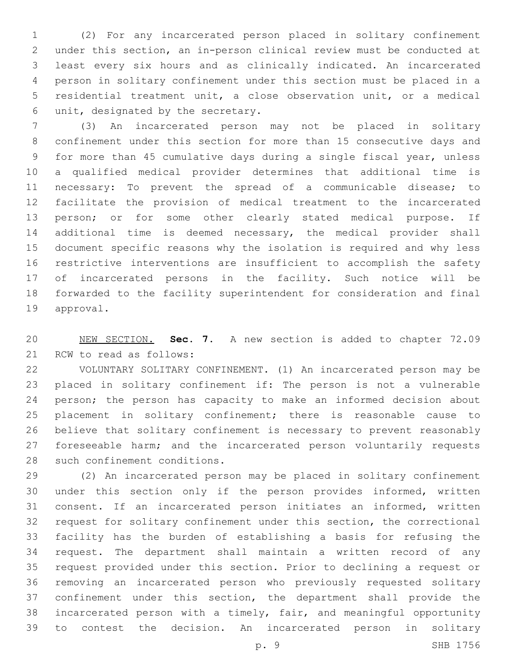(2) For any incarcerated person placed in solitary confinement under this section, an in-person clinical review must be conducted at least every six hours and as clinically indicated. An incarcerated person in solitary confinement under this section must be placed in a residential treatment unit, a close observation unit, or a medical unit, designated by the secretary.6

 (3) An incarcerated person may not be placed in solitary confinement under this section for more than 15 consecutive days and for more than 45 cumulative days during a single fiscal year, unless a qualified medical provider determines that additional time is necessary: To prevent the spread of a communicable disease; to facilitate the provision of medical treatment to the incarcerated person; or for some other clearly stated medical purpose. If additional time is deemed necessary, the medical provider shall document specific reasons why the isolation is required and why less restrictive interventions are insufficient to accomplish the safety of incarcerated persons in the facility. Such notice will be forwarded to the facility superintendent for consideration and final 19 approval.

 NEW SECTION. **Sec. 7.** A new section is added to chapter 72.09 21 RCW to read as follows:

 VOLUNTARY SOLITARY CONFINEMENT. (1) An incarcerated person may be placed in solitary confinement if: The person is not a vulnerable person; the person has capacity to make an informed decision about placement in solitary confinement; there is reasonable cause to believe that solitary confinement is necessary to prevent reasonably 27 foreseeable harm; and the incarcerated person voluntarily requests 28 such confinement conditions.

 (2) An incarcerated person may be placed in solitary confinement under this section only if the person provides informed, written consent. If an incarcerated person initiates an informed, written request for solitary confinement under this section, the correctional facility has the burden of establishing a basis for refusing the request. The department shall maintain a written record of any request provided under this section. Prior to declining a request or removing an incarcerated person who previously requested solitary confinement under this section, the department shall provide the incarcerated person with a timely, fair, and meaningful opportunity to contest the decision. An incarcerated person in solitary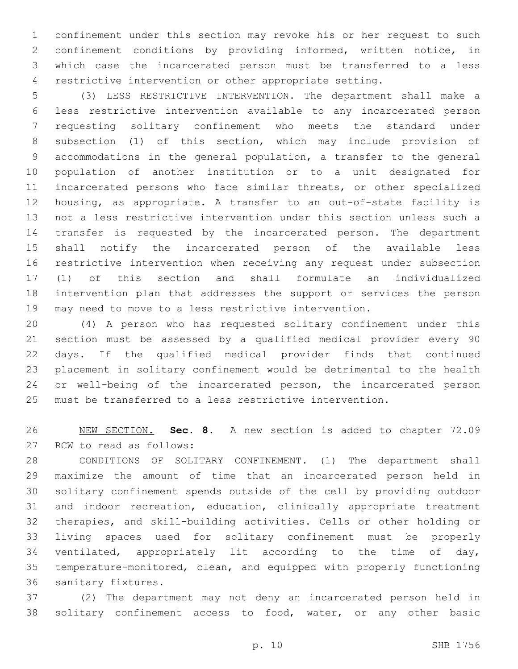confinement under this section may revoke his or her request to such confinement conditions by providing informed, written notice, in which case the incarcerated person must be transferred to a less restrictive intervention or other appropriate setting.

 (3) LESS RESTRICTIVE INTERVENTION. The department shall make a less restrictive intervention available to any incarcerated person requesting solitary confinement who meets the standard under subsection (1) of this section, which may include provision of accommodations in the general population, a transfer to the general population of another institution or to a unit designated for incarcerated persons who face similar threats, or other specialized housing, as appropriate. A transfer to an out-of-state facility is not a less restrictive intervention under this section unless such a transfer is requested by the incarcerated person. The department shall notify the incarcerated person of the available less restrictive intervention when receiving any request under subsection (1) of this section and shall formulate an individualized intervention plan that addresses the support or services the person may need to move to a less restrictive intervention.

 (4) A person who has requested solitary confinement under this section must be assessed by a qualified medical provider every 90 days. If the qualified medical provider finds that continued placement in solitary confinement would be detrimental to the health or well-being of the incarcerated person, the incarcerated person must be transferred to a less restrictive intervention.

 NEW SECTION. **Sec. 8.** A new section is added to chapter 72.09 27 RCW to read as follows:

 CONDITIONS OF SOLITARY CONFINEMENT. (1) The department shall maximize the amount of time that an incarcerated person held in solitary confinement spends outside of the cell by providing outdoor and indoor recreation, education, clinically appropriate treatment therapies, and skill-building activities. Cells or other holding or living spaces used for solitary confinement must be properly ventilated, appropriately lit according to the time of day, temperature-monitored, clean, and equipped with properly functioning 36 sanitary fixtures.

 (2) The department may not deny an incarcerated person held in solitary confinement access to food, water, or any other basic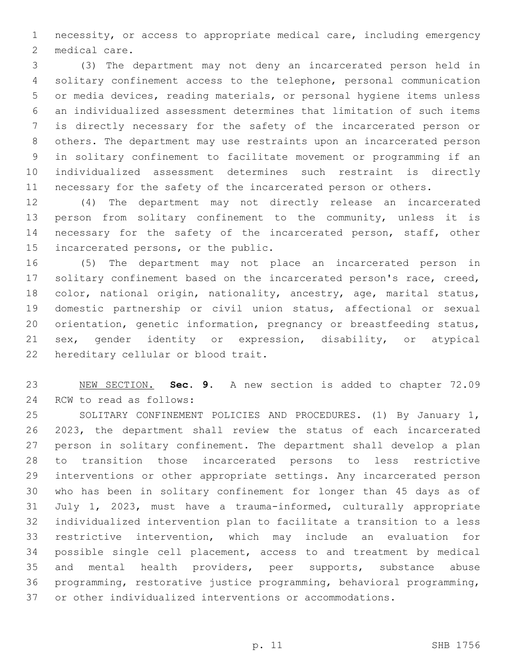necessity, or access to appropriate medical care, including emergency 2 medical care.

 (3) The department may not deny an incarcerated person held in solitary confinement access to the telephone, personal communication or media devices, reading materials, or personal hygiene items unless an individualized assessment determines that limitation of such items is directly necessary for the safety of the incarcerated person or others. The department may use restraints upon an incarcerated person in solitary confinement to facilitate movement or programming if an individualized assessment determines such restraint is directly necessary for the safety of the incarcerated person or others.

 (4) The department may not directly release an incarcerated person from solitary confinement to the community, unless it is 14 necessary for the safety of the incarcerated person, staff, other 15 incarcerated persons, or the public.

 (5) The department may not place an incarcerated person in solitary confinement based on the incarcerated person's race, creed, 18 color, national origin, nationality, ancestry, age, marital status, domestic partnership or civil union status, affectional or sexual orientation, genetic information, pregnancy or breastfeeding status, sex, gender identity or expression, disability, or atypical 22 hereditary cellular or blood trait.

 NEW SECTION. **Sec. 9.** A new section is added to chapter 72.09 24 RCW to read as follows:

 SOLITARY CONFINEMENT POLICIES AND PROCEDURES. (1) By January 1, 2023, the department shall review the status of each incarcerated person in solitary confinement. The department shall develop a plan to transition those incarcerated persons to less restrictive interventions or other appropriate settings. Any incarcerated person who has been in solitary confinement for longer than 45 days as of July 1, 2023, must have a trauma-informed, culturally appropriate individualized intervention plan to facilitate a transition to a less restrictive intervention, which may include an evaluation for possible single cell placement, access to and treatment by medical and mental health providers, peer supports, substance abuse programming, restorative justice programming, behavioral programming, or other individualized interventions or accommodations.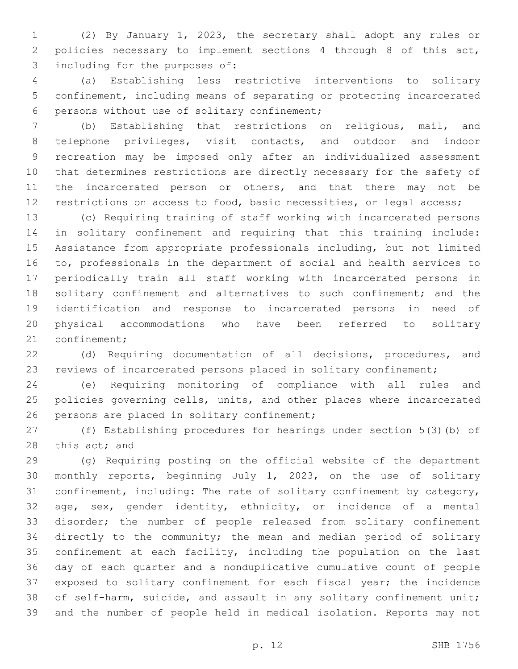(2) By January 1, 2023, the secretary shall adopt any rules or policies necessary to implement sections 4 through 8 of this act, 3 including for the purposes of:

 (a) Establishing less restrictive interventions to solitary confinement, including means of separating or protecting incarcerated 6 persons without use of solitary confinement;

 (b) Establishing that restrictions on religious, mail, and telephone privileges, visit contacts, and outdoor and indoor recreation may be imposed only after an individualized assessment that determines restrictions are directly necessary for the safety of 11 the incarcerated person or others, and that there may not be restrictions on access to food, basic necessities, or legal access;

 (c) Requiring training of staff working with incarcerated persons in solitary confinement and requiring that this training include: Assistance from appropriate professionals including, but not limited to, professionals in the department of social and health services to periodically train all staff working with incarcerated persons in 18 solitary confinement and alternatives to such confinement; and the identification and response to incarcerated persons in need of physical accommodations who have been referred to solitary 21 confinement;

 (d) Requiring documentation of all decisions, procedures, and reviews of incarcerated persons placed in solitary confinement;

 (e) Requiring monitoring of compliance with all rules and policies governing cells, units, and other places where incarcerated 26 persons are placed in solitary confinement;

 (f) Establishing procedures for hearings under section 5(3)(b) of 28 this act; and

 (g) Requiring posting on the official website of the department monthly reports, beginning July 1, 2023, on the use of solitary confinement, including: The rate of solitary confinement by category, age, sex, gender identity, ethnicity, or incidence of a mental disorder; the number of people released from solitary confinement directly to the community; the mean and median period of solitary confinement at each facility, including the population on the last day of each quarter and a nonduplicative cumulative count of people exposed to solitary confinement for each fiscal year; the incidence of self-harm, suicide, and assault in any solitary confinement unit; and the number of people held in medical isolation. Reports may not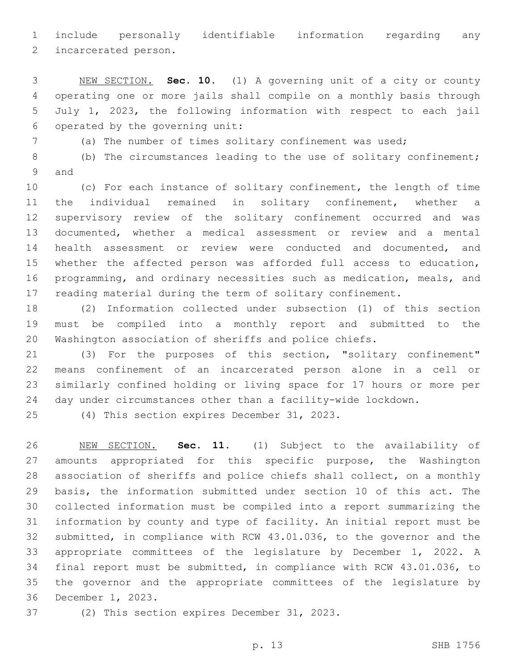include personally identifiable information regarding any

2 incarcerated person.

 NEW SECTION. **Sec. 10.** (1) A governing unit of a city or county operating one or more jails shall compile on a monthly basis through July 1, 2023, the following information with respect to each jail operated by the governing unit:

(a) The number of times solitary confinement was used;

 (b) The circumstances leading to the use of solitary confinement; 9 and

 (c) For each instance of solitary confinement, the length of time the individual remained in solitary confinement, whether a supervisory review of the solitary confinement occurred and was documented, whether a medical assessment or review and a mental health assessment or review were conducted and documented, and whether the affected person was afforded full access to education, programming, and ordinary necessities such as medication, meals, and reading material during the term of solitary confinement.

 (2) Information collected under subsection (1) of this section must be compiled into a monthly report and submitted to the Washington association of sheriffs and police chiefs.

 (3) For the purposes of this section, "solitary confinement" means confinement of an incarcerated person alone in a cell or similarly confined holding or living space for 17 hours or more per day under circumstances other than a facility-wide lockdown.

(4) This section expires December 31, 2023.

 NEW SECTION. **Sec. 11.** (1) Subject to the availability of amounts appropriated for this specific purpose, the Washington association of sheriffs and police chiefs shall collect, on a monthly basis, the information submitted under section 10 of this act. The collected information must be compiled into a report summarizing the information by county and type of facility. An initial report must be submitted, in compliance with RCW 43.01.036, to the governor and the appropriate committees of the legislature by December 1, 2022. A final report must be submitted, in compliance with RCW 43.01.036, to the governor and the appropriate committees of the legislature by December 1, 2023.

37 (2) This section expires December 31, 2023.